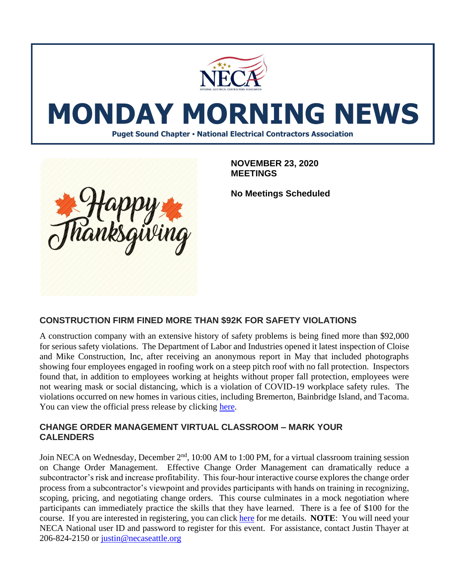

# **MONDAY MORNING NEWS**

**Puget Sound Chapter • National Electrical Contractors Association**



**NOVEMBER 23, 2020 MEETINGS**

**No Meetings Scheduled**

## **CONSTRUCTION FIRM FINED MORE THAN \$92K FOR SAFETY VIOLATIONS**

A construction company with an extensive history of safety problems is being fined more than \$92,000 for serious safety violations. The Department of Labor and Industries opened it latest inspection of Cloise and Mike Construction, Inc, after receiving an anonymous report in May that included photographs showing four employees engaged in roofing work on a steep pitch roof with no fall protection. Inspectors found that, in addition to employees working at heights without proper fall protection, employees were not wearing mask or social distancing, which is a violation of COVID-19 workplace safety rules. The violations occurred on new homes in various cities, including Bremerton, Bainbridge Island, and Tacoma. You can view the official press release by clicking [here.](https://lni.wa.gov/news-events/article/?id=20-043)

### **CHANGE ORDER MANAGEMENT VIRTUAL CLASSROOM – MARK YOUR CALENDERS**

Join NECA on Wednesday, December  $2<sup>nd</sup>$ , 10:00 AM to 1:00 PM, for a virtual classroom training session on Change Order Management. Effective Change Order Management can dramatically reduce a subcontractor's risk and increase profitability. This four-hour interactive course explores the change order process from a subcontractor's viewpoint and provides participants with hands on training in recognizing, scoping, pricing, and negotiating change orders. This course culminates in a mock negotiation where participants can immediately practice the skills that they have learned. There is a fee of \$100 for the course. If you are interested in registering, you can click [here](https://courses.necanet.org/course/session/details/748) for me details. **NOTE**: You will need your NECA National user ID and password to register for this event. For assistance, contact Justin Thayer at 206-824-2150 or [justin@necaseattle.org](mailto:justin@necaseattle.org)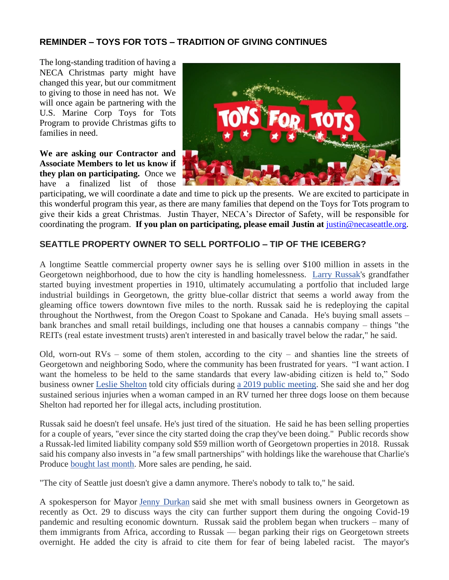## **REMINDER – TOYS FOR TOTS – TRADITION OF GIVING CONTINUES**

The long-standing tradition of having a NECA Christmas party might have changed this year, but our commitment to giving to those in need has not. We will once again be partnering with the U.S. Marine Corp Toys for Tots Program to provide Christmas gifts to families in need.

**We are asking our Contractor and Associate Members to let us know if they plan on participating.** Once we have a finalized list of those



participating, we will coordinate a date and time to pick up the presents. We are excited to participate in this wonderful program this year, as there are many families that depend on the Toys for Tots program to give their kids a great Christmas. Justin Thayer, NECA's Director of Safety, will be responsible for coordinating the program. **If you plan on participating, please email Justin at** [justin@necaseattle.org.](mailto:justin@necaseattle.org)

### **SEATTLE PROPERTY OWNER TO SELL PORTFOLIO – TIP OF THE ICEBERG?**

A longtime Seattle commercial property owner says he is selling over \$100 million in assets in the Georgetown neighborhood, due to how the city is handling homelessness. [Larry Russak's](https://www.bizjournals.com/seattle/search/results?q=Larry%20Russak) grandfather started buying investment properties in 1910, ultimately accumulating a portfolio that included large industrial buildings in Georgetown, the gritty blue-collar district that seems a world away from the gleaming office towers downtown five miles to the north. Russak said he is redeploying the capital throughout the Northwest, from the Oregon Coast to Spokane and Canada. He's buying small assets – bank branches and small retail buildings, including one that houses a cannabis company – things "the REITs (real estate investment trusts) aren't interested in and basically travel below the radar," he said.

Old, worn-out  $RVs$  – some of them stolen, according to the city – and shanties line the streets of Georgetown and neighboring Sodo, where the community has been frustrated for years. "I want action. I want the homeless to be held to the same standards that every law-abiding citizen is held to," Sodo business owner [Leslie Shelton](https://www.bizjournals.com/seattle/search/results?q=Leslie%20Shelton) told city officials during [a 2019 public meeting.](https://www.bizjournals.com/seattle/news/2019/05/15/businesses-out-of-patience-with-seattles-approach.html) She said she and her dog sustained serious injuries when a woman camped in an RV turned her three dogs loose on them because Shelton had reported her for illegal acts, including prostitution.

Russak said he doesn't feel unsafe. He's just tired of the situation. He said he has been selling properties for a couple of years, "ever since the city started doing the crap they've been doing." Public records show a Russak-led limited liability company sold \$59 million worth of Georgetown properties in 2018. Russak said his company also invests in "a few small partnerships" with holdings like the warehouse that Charlie's Produce [bought last month.](https://www.bizjournals.com/seattle/news/2020/10/20/warehouse-deal-keeps-charlies-in-seattle.html) More sales are pending, he said.

"The city of Seattle just doesn't give a damn anymore. There's nobody to talk to," he said.

A spokesperson for Mayor [Jenny Durkan](https://www.bizjournals.com/seattle/search/results?q=Jenny%20Durkan) said she met with small business owners in Georgetown as recently as Oct. 29 to discuss ways the city can further support them during the ongoing Covid-19 pandemic and resulting economic downturn. Russak said the problem began when truckers – many of them immigrants from Africa, according to Russak — began parking their rigs on Georgetown streets overnight. He added the city is afraid to cite them for fear of being labeled racist. The mayor's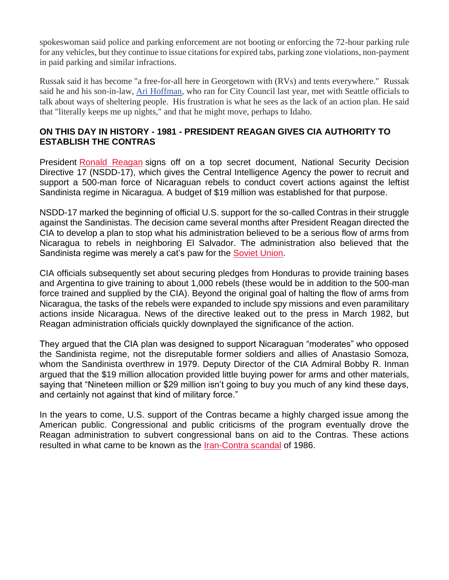spokeswoman said police and parking enforcement are not booting or enforcing the 72-hour parking rule for any vehicles, but they continue to issue citations for expired tabs, parking zone violations, non-payment in paid parking and similar infractions.

Russak said it has become "a free-for-all here in Georgetown with (RVs) and tents everywhere." Russak said he and his son-in-law, [Ari Hoffman,](https://www.bizjournals.com/seattle/search/results?q=Ari%20Hoffman) who ran for City Council last year, met with Seattle officials to talk about ways of sheltering people. His frustration is what he sees as the lack of an action plan. He said that "literally keeps me up nights," and that he might move, perhaps to Idaho.

## **ON THIS DAY IN HISTORY - 1981 - PRESIDENT REAGAN GIVES CIA AUTHORITY TO ESTABLISH THE CONTRAS**

President [Ronald Reagan](https://www.history.com/topics/us-presidents/ronald-reagan) signs off on a top secret document, National Security Decision Directive 17 (NSDD-17), which gives the Central Intelligence Agency the power to recruit and support a 500-man force of Nicaraguan rebels to conduct covert actions against the leftist Sandinista regime in Nicaragua. A budget of \$19 million was established for that purpose.

NSDD-17 marked the beginning of official U.S. support for the so-called Contras in their struggle against the Sandinistas. The decision came several months after President Reagan directed the CIA to develop a plan to stop what his administration believed to be a serious flow of arms from Nicaragua to rebels in neighboring El Salvador. The administration also believed that the Sandinista regime was merely a cat's paw for the [Soviet Union.](https://www.history.com/topics/history-of-the-soviet-union)

CIA officials subsequently set about securing pledges from Honduras to provide training bases and Argentina to give training to about 1,000 rebels (these would be in addition to the 500-man force trained and supplied by the CIA). Beyond the original goal of halting the flow of arms from Nicaragua, the tasks of the rebels were expanded to include spy missions and even paramilitary actions inside Nicaragua. News of the directive leaked out to the press in March 1982, but Reagan administration officials quickly downplayed the significance of the action.

They argued that the CIA plan was designed to support Nicaraguan "moderates" who opposed the Sandinista regime, not the disreputable former soldiers and allies of Anastasio Somoza, whom the Sandinista overthrew in 1979. Deputy Director of the CIA Admiral Bobby R. Inman argued that the \$19 million allocation provided little buying power for arms and other materials, saying that "Nineteen million or \$29 million isn't going to buy you much of any kind these days, and certainly not against that kind of military force."

In the years to come, U.S. support of the Contras became a highly charged issue among the American public. Congressional and public criticisms of the program eventually drove the Reagan administration to subvert congressional bans on aid to the Contras. These actions resulted in what came to be known as the **[Iran-Contra scandal](https://www.history.com/topics/1980s/iran-contra-affair)** of 1986.